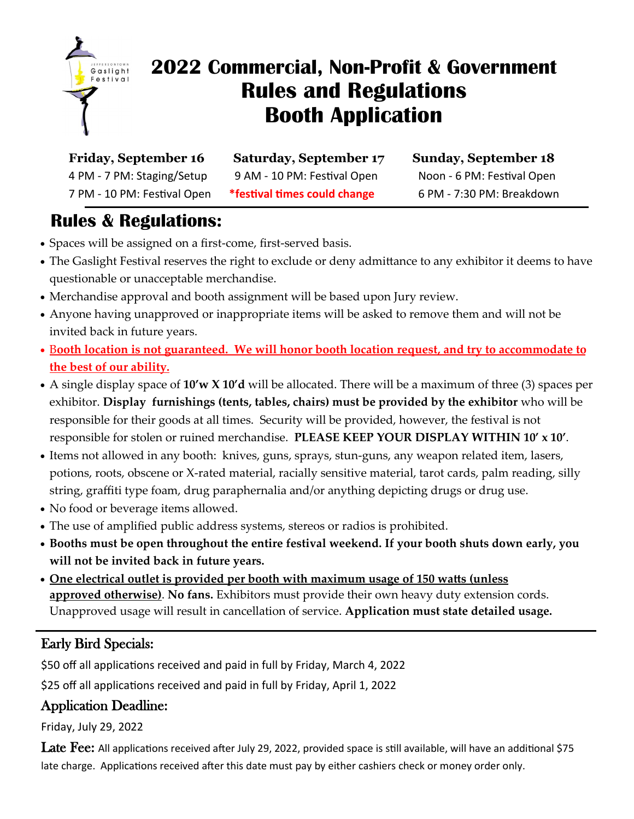

# **2022 Commercial, Non-Profit & Government Rules and Regulations Booth Application**

**Friday, September 16 Saturday, September 17 Sunday, September 18** 4 PM - 7 PM: Staging/Setup 9 AM - 10 PM: Festival Open Noon - 6 PM: Festival Open 7 PM - 10 PM: Festival Open **\*festival times could change** 6 PM - 7:30 PM: Breakdown

# **Rules & Regulations:**

- Spaces will be assigned on a first-come, first-served basis.
- The Gaslight Festival reserves the right to exclude or deny admittance to any exhibitor it deems to have questionable or unacceptable merchandise.
- Merchandise approval and booth assignment will be based upon Jury review.
- Anyone having unapproved or inappropriate items will be asked to remove them and will not be invited back in future years.
- B**ooth location is not guaranteed. We will honor booth location request, and try to accommodate to the best of our ability.**
- A single display space of **10'w X 10'd** will be allocated. There will be a maximum of three (3) spaces per exhibitor. **Display furnishings (tents, tables, chairs) must be provided by the exhibitor** who will be responsible for their goods at all times. Security will be provided, however, the festival is not responsible for stolen or ruined merchandise. **PLEASE KEEP YOUR DISPLAY WITHIN 10' x 10'**.
- Items not allowed in any booth: knives, guns, sprays, stun-guns, any weapon related item, lasers, potions, roots, obscene or X-rated material, racially sensitive material, tarot cards, palm reading, silly string, graffiti type foam, drug paraphernalia and/or anything depicting drugs or drug use.
- No food or beverage items allowed.
- The use of amplified public address systems, stereos or radios is prohibited.
- **Booths must be open throughout the entire festival weekend. If your booth shuts down early, you will not be invited back in future years.**
- **One electrical outlet is provided per booth with maximum usage of 150 watts (unless approved otherwise)**. **No fans.** Exhibitors must provide their own heavy duty extension cords. Unapproved usage will result in cancellation of service. **Application must state detailed usage.**

# Early Bird Specials:

\$50 off all applications received and paid in full by Friday, March 4, 2022

\$25 off all applications received and paid in full by Friday, April 1, 2022

### Application Deadline:

Friday, July 29, 2022

Late Fee: All applications received after July 29, 2022, provided space is still available, will have an additional \$75 late charge. Applications received after this date must pay by either cashiers check or money order only.